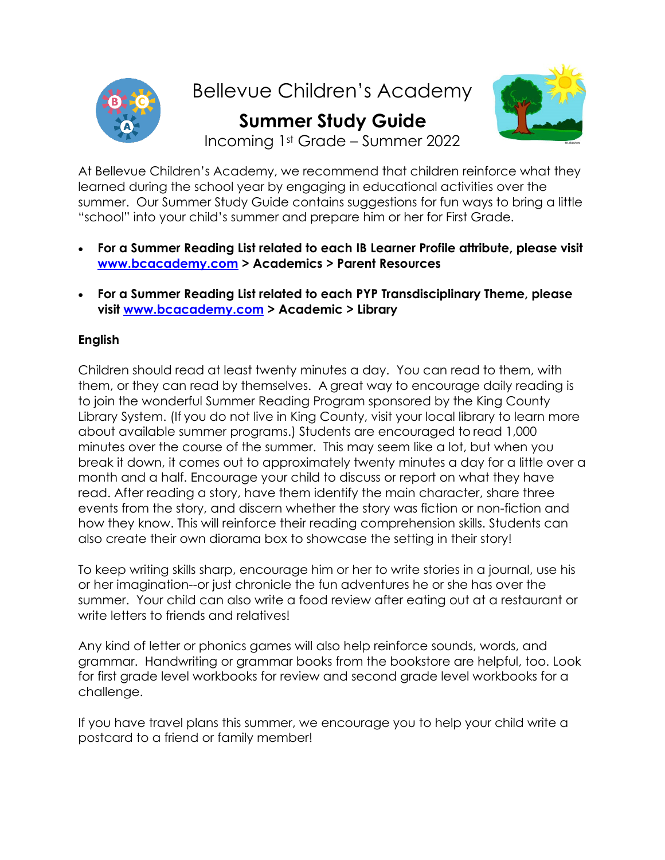

Bellevue Children's Academy

 **Summer Study Guide**



Incoming 1st Grade – Summer 2022

At Bellevue Children's Academy, we recommend that children reinforce what they learned during the school year by engaging in educational activities over the summer. Our Summer Study Guide contains suggestions for fun ways to bring a little "school" into your child's summer and prepare him or her for First Grade.

- **For a Summer Reading List related to each IB Learner Profile attribute, please visit [www.bcacademy.com](http://www.bcacademy.com/) > Academics > Parent Resources**
- **For a Summer Reading List related to each PYP Transdisciplinary Theme, please visit [www.bcacademy.com](http://www.bcacademy.com/) > Academic > Library**

# **English**

Children should read at least twenty minutes a day. You can read to them, with them, or they can read by themselves. A great way to encourage daily reading is to join the wonderful Summer Reading Program sponsored by the King County Library System. (If you do not live in King County, visit your local library to learn more about available summer programs.) Students are encouraged to read 1,000 minutes over the course of the summer. This may seem like a lot, but when you break it down, it comes out to approximately twenty minutes a day for a little over a month and a half. Encourage your child to discuss or report on what they have read. After reading a story, have them identify the main character, share three events from the story, and discern whether the story was fiction or non-fiction and how they know. This will reinforce their reading comprehension skills. Students can also create their own diorama box to showcase the setting in their story!

To keep writing skills sharp, encourage him or her to write stories in a journal, use his or her imagination--or just chronicle the fun adventures he or she has over the summer. Your child can also write a food review after eating out at a restaurant or write letters to friends and relatives!

Any kind of letter or phonics games will also help reinforce sounds, words, and grammar. Handwriting or grammar books from the bookstore are helpful, too. Look for first grade level workbooks for review and second grade level workbooks for a challenge.

If you have travel plans this summer, we encourage you to help your child write a postcard to a friend or family member!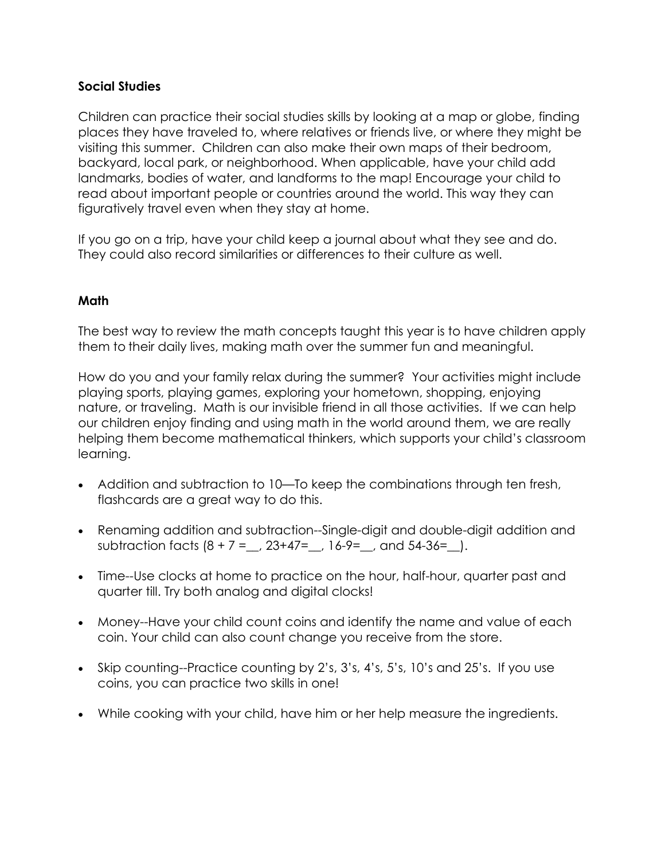## **Social Studies**

Children can practice their social studies skills by looking at a map or globe, finding places they have traveled to, where relatives or friends live, or where they might be visiting this summer. Children can also make their own maps of their bedroom, backyard, local park, or neighborhood. When applicable, have your child add landmarks, bodies of water, and landforms to the map! Encourage your child to read about important people or countries around the world. This way they can figuratively travel even when they stay at home.

If you go on a trip, have your child keep a journal about what they see and do. They could also record similarities or differences to their culture as well.

## **Math**

The best way to review the math concepts taught this year is to have children apply them to their daily lives, making math over the summer fun and meaningful.

How do you and your family relax during the summer? Your activities might include playing sports, playing games, exploring your hometown, shopping, enjoying nature, or traveling. Math is our invisible friend in all those activities. If we can help our children enjoy finding and using math in the world around them, we are really helping them become mathematical thinkers, which supports your child's classroom learning.

- Addition and subtraction to 10—To keep the combinations through ten fresh, flashcards are a great way to do this.
- Renaming addition and subtraction--Single-digit and double-digit addition and subtraction facts  $(8 + 7 = 23 + 47 = 16 - 9 = 7)$  and  $54 - 36 = 1$ .
- Time--Use clocks at home to practice on the hour, half-hour, quarter past and quarter till. Try both analog and digital clocks!
- Money--Have your child count coins and identify the name and value of each coin. Your child can also count change you receive from the store.
- Skip counting--Practice counting by 2's, 3's, 4's, 5's, 10's and 25's. If you use coins, you can practice two skills in one!
- While cooking with your child, have him or her help measure the ingredients.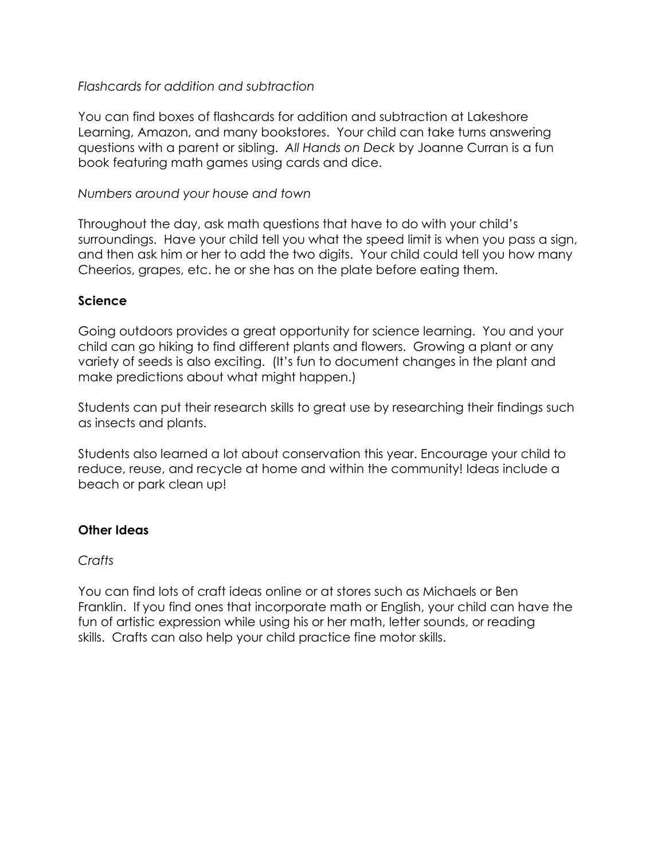## *Flashcards for addition and subtraction*

You can find boxes of flashcards for addition and subtraction at Lakeshore Learning, Amazon, and many bookstores. Your child can take turns answering questions with a parent or sibling. *All Hands on Deck* by Joanne Curran is a fun book featuring math games using cards and dice.

### *Numbers around your house and town*

Throughout the day, ask math questions that have to do with your child's surroundings. Have your child tell you what the speed limit is when you pass a sign, and then ask him or her to add the two digits. Your child could tell you how many Cheerios, grapes, etc. he or she has on the plate before eating them.

#### **Science**

Going outdoors provides a great opportunity for science learning. You and your child can go hiking to find different plants and flowers. Growing a plant or any variety of seeds is also exciting. (It's fun to document changes in the plant and make predictions about what might happen.)

Students can put their research skills to great use by researching their findings such as insects and plants.

Students also learned a lot about conservation this year. Encourage your child to reduce, reuse, and recycle at home and within the community! Ideas include a beach or park clean up!

## **Other Ideas**

## *Crafts*

You can find lots of craft ideas online or at stores such as Michaels or Ben Franklin. If you find ones that incorporate math or English, your child can have the fun of artistic expression while using his or her math, letter sounds, or reading skills. Crafts can also help your child practice fine motor skills.